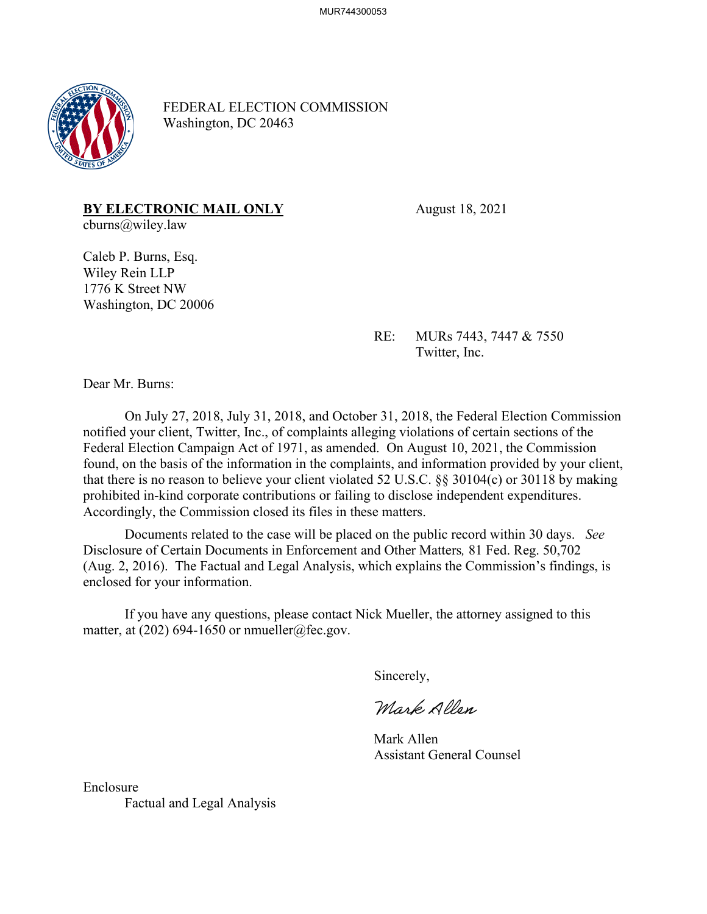

FEDERAL ELECTION COMMISSION Washington, DC 20463

# **BY ELECTRONIC MAIL ONLY** August 18, 2021

cburns@wiley.law

Caleb P. Burns, Esq. Wiley Rein LLP 1776 K Street NW Washington, DC 20006

> RE: MURs 7443, 7447 & 7550 Twitter, Inc.

Dear Mr. Burns:

On July 27, 2018, July 31, 2018, and October 31, 2018, the Federal Election Commission notified your client, Twitter, Inc., of complaints alleging violations of certain sections of the Federal Election Campaign Act of 1971, as amended. On August 10, 2021, the Commission found, on the basis of the information in the complaints, and information provided by your client, that there is no reason to believe your client violated 52 U.S.C. §§ 30104(c) or 30118 by making prohibited in-kind corporate contributions or failing to disclose independent expenditures. Accordingly, the Commission closed its files in these matters.

Documents related to the case will be placed on the public record within 30 days. *See*  Disclosure of Certain Documents in Enforcement and Other Matters*,* 81 Fed. Reg. 50,702 (Aug. 2, 2016). The Factual and Legal Analysis, which explains the Commission's findings, is enclosed for your information.

If you have any questions, please contact Nick Mueller, the attorney assigned to this matter, at  $(202)$  694-1650 or nmueller@fec.gov.

Sincerely,

Mark Allan

Mark Allen Assistant General Counsel

Enclosure Factual and Legal Analysis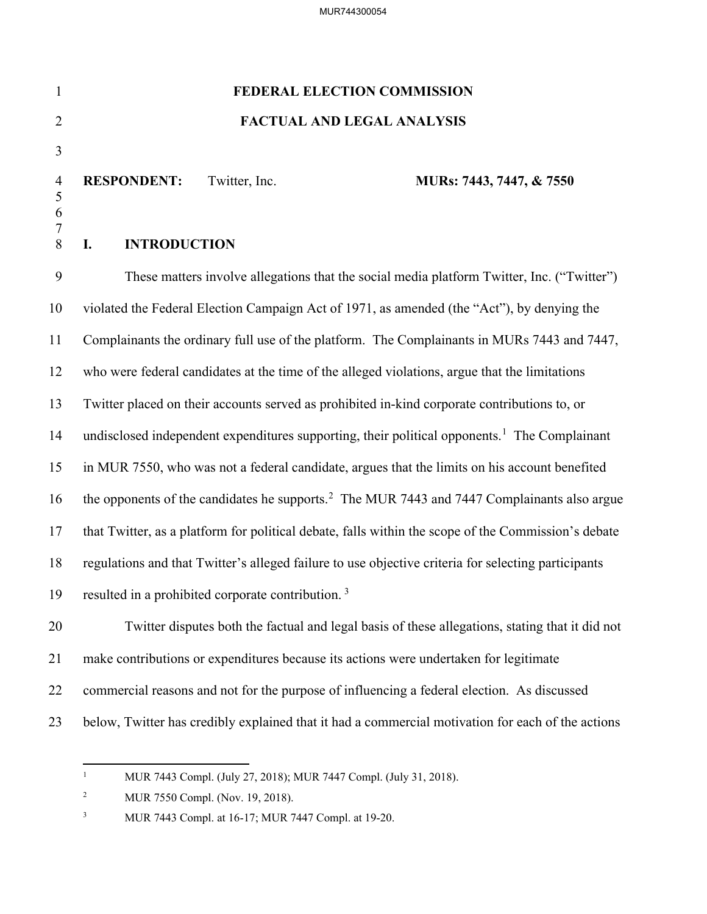| $\mathbf{1}$             | FEDERAL ELECTION COMMISSION                                                                              |
|--------------------------|----------------------------------------------------------------------------------------------------------|
| $\overline{2}$           | <b>FACTUAL AND LEGAL ANALYSIS</b>                                                                        |
| 3                        |                                                                                                          |
| $\overline{4}$<br>5<br>6 | Twitter, Inc.<br><b>RESPONDENT:</b><br>MURs: 7443, 7447, & 7550                                          |
| 7<br>8                   | <b>INTRODUCTION</b><br>I.                                                                                |
| 9                        | These matters involve allegations that the social media platform Twitter, Inc. ("Twitter")               |
| 10                       | violated the Federal Election Campaign Act of 1971, as amended (the "Act"), by denying the               |
| 11                       | Complainants the ordinary full use of the platform. The Complainants in MURs 7443 and 7447,              |
| 12                       | who were federal candidates at the time of the alleged violations, argue that the limitations            |
| 13                       | Twitter placed on their accounts served as prohibited in-kind corporate contributions to, or             |
| 14                       | undisclosed independent expenditures supporting, their political opponents. <sup>1</sup> The Complainant |
| 15                       | in MUR 7550, who was not a federal candidate, argues that the limits on his account benefited            |
| 16                       | the opponents of the candidates he supports. <sup>2</sup> The MUR 7443 and 7447 Complainants also argue  |
| 17                       | that Twitter, as a platform for political debate, falls within the scope of the Commission's debate      |
| 18                       | regulations and that Twitter's alleged failure to use objective criteria for selecting participants      |
| 19                       | resulted in a prohibited corporate contribution. <sup>3</sup>                                            |
| 20                       | Twitter disputes both the factual and legal basis of these allegations, stating that it did not          |
| 21                       | make contributions or expenditures because its actions were undertaken for legitimate                    |
| 22                       | commercial reasons and not for the purpose of influencing a federal election. As discussed               |
|                          |                                                                                                          |

<span id="page-1-0"></span><sup>23</sup> below, Twitter has credibly explained that it had a commercial motivation for each of the actions

<sup>1</sup> MUR 7443 Compl. (July 27, 2018); MUR 7447 Compl. (July 31, 2018).

<span id="page-1-1"></span><sup>2</sup> MUR 7550 Compl. (Nov. 19, 2018).

<span id="page-1-2"></span><sup>3</sup> MUR 7443 Compl. at 16-17; MUR 7447 Compl. at 19-20.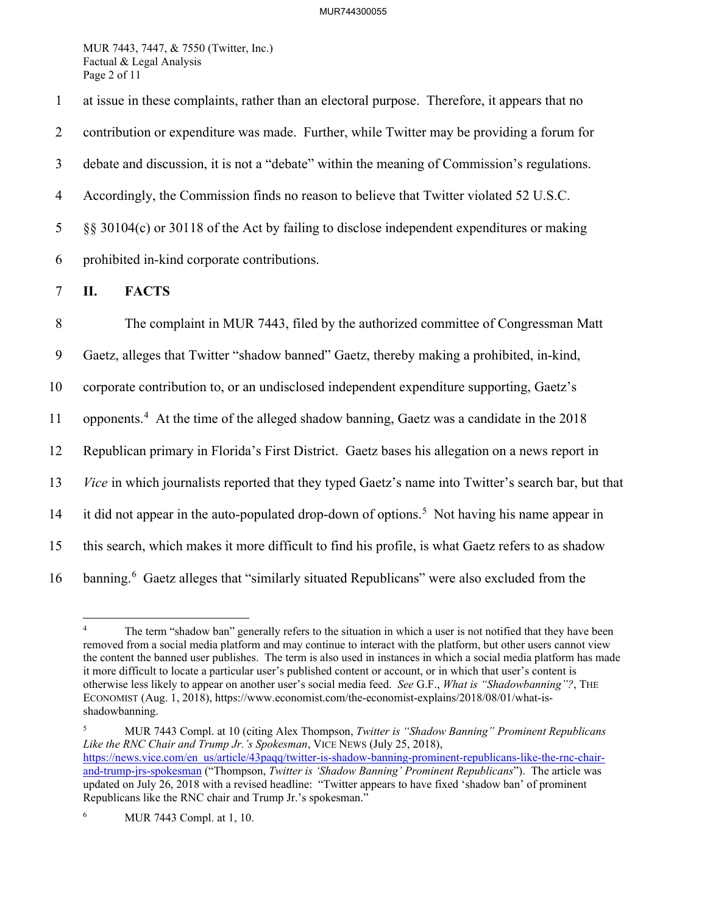MUR 7443, 7447, & 7550 (Twitter, Inc.) Factual & Legal Analysis Page 2 of 11

1 at issue in these complaints, rather than an electoral purpose. Therefore, it appears that no 2 contribution or expenditure was made. Further, while Twitter may be providing a forum for 3 debate and discussion, it is not a "debate" within the meaning of Commission's regulations. 4 Accordingly, the Commission finds no reason to believe that Twitter violated 52 U.S.C. 5 §§ 30104(c) or 30118 of the Act by failing to disclose independent expenditures or making 6 prohibited in-kind corporate contributions.

## 7 **II. FACTS**

8 The complaint in MUR 7443, filed by the authorized committee of Congressman Matt 9 Gaetz, alleges that Twitter "shadow banned" Gaetz, thereby making a prohibited, in-kind, 10 corporate contribution to, or an undisclosed independent expenditure supporting, Gaetz's 11 opponents.<sup>[4](#page-2-0)</sup> At the time of the alleged shadow banning, Gaetz was a candidate in the  $2018$ 12 Republican primary in Florida's First District. Gaetz bases his allegation on a news report in 13 *Vice* in which journalists reported that they typed Gaetz's name into Twitter's search bar, but that 14 it did not appear in the auto-populated drop-down of options.<sup>[5](#page-2-1)</sup> Not having his name appear in 15 this search, which makes it more difficult to find his profile, is what Gaetz refers to as shadow 1[6](#page-2-2) banning.<sup>6</sup> Gaetz alleges that "similarly situated Republicans" were also excluded from the

<span id="page-2-1"></span>5 MUR 7443 Compl. at 10 (citing Alex Thompson, *Twitter is "Shadow Banning" Prominent Republicans Like the RNC Chair and Trump Jr.'s Spokesman*, VICE NEWS (July 25, 2018), [https://news.vice.com/en\\_us/article/43paqq/twitter-is-shadow-banning-prominent-republicans-like-the-rnc-chair](https://news.vice.com/en_us/article/43paqq/twitter-is-shadow-banning-prominent-republicans-like-the-rnc-chair-and-trump-jrs-spokesman)[and-trump-jrs-spokesman](https://news.vice.com/en_us/article/43paqq/twitter-is-shadow-banning-prominent-republicans-like-the-rnc-chair-and-trump-jrs-spokesman) ("Thompson, *Twitter is 'Shadow Banning' Prominent Republicans*"). The article was updated on July 26, 2018 with a revised headline: "Twitter appears to have fixed 'shadow ban' of prominent Republicans like the RNC chair and Trump Jr.'s spokesman."

<span id="page-2-0"></span><sup>4</sup> The term "shadow ban" generally refers to the situation in which a user is not notified that they have been removed from a social media platform and may continue to interact with the platform, but other users cannot view the content the banned user publishes. The term is also used in instances in which a social media platform has made it more difficult to locate a particular user's published content or account, or in which that user's content is otherwise less likely to appear on another user's social media feed. *See* G.F., *What is "Shadowbanning"?*, THE ECONOMIST (Aug. 1, 2018), https://www.economist.com/the-economist-explains/2018/08/01/what-isshadowbanning.

<span id="page-2-2"></span><sup>6</sup> MUR 7443 Compl. at 1, 10.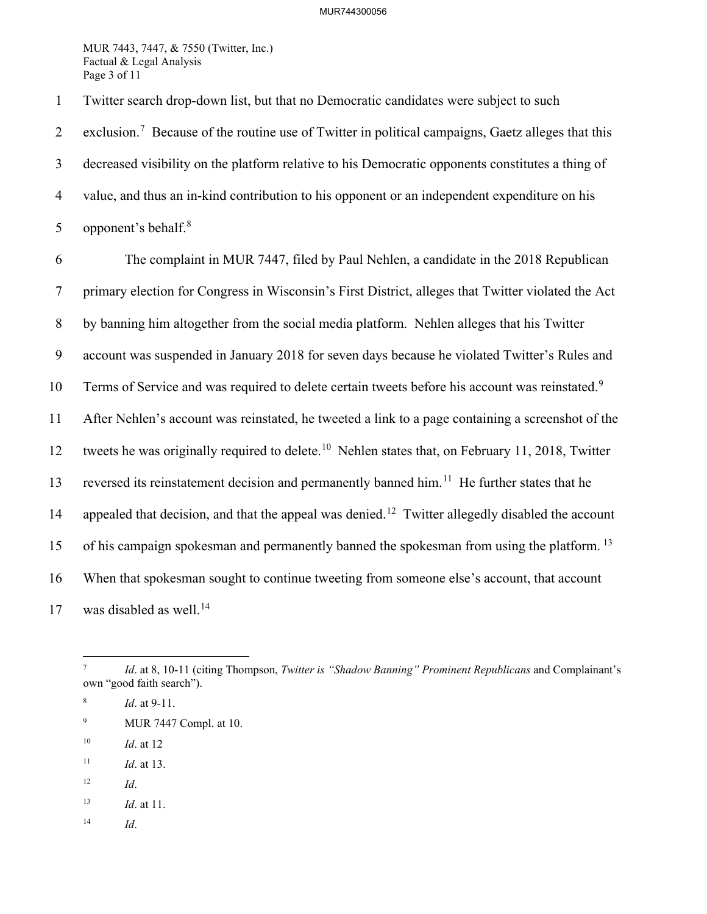#### MUR744300056

MUR 7443, 7447, & 7550 (Twitter, Inc.) Factual & Legal Analysis Page 3 of 11

1 Twitter search drop-down list, but that no Democratic candidates were subject to such

2 exclusion.<sup>[7](#page-3-0)</sup> Because of the routine use of Twitter in political campaigns, Gaetz alleges that this 3 decreased visibility on the platform relative to his Democratic opponents constitutes a thing of 4 value, and thus an in-kind contribution to his opponent or an independent expenditure on his 5 opponent's behalf. $8$ 

6 The complaint in MUR 7447, filed by Paul Nehlen, a candidate in the 2018 Republican 7 primary election for Congress in Wisconsin's First District, alleges that Twitter violated the Act 8 by banning him altogether from the social media platform. Nehlen alleges that his Twitter 9 account was suspended in January 2018 for seven days because he violated Twitter's Rules and 10 Terms of Service and was required to delete certain tweets before his account was reinstated.<sup>[9](#page-3-2)</sup> 11 After Nehlen's account was reinstated, he tweeted a link to a page containing a screenshot of the 12 tweets he was originally required to delete.<sup>[10](#page-3-3)</sup> Nehlen states that, on February 11, 2018, Twitter 13 reversed its reinstatement decision and permanently banned him.<sup>[11](#page-3-4)</sup> He further states that he 14 appealed that decision, and that the appeal was denied.<sup>[12](#page-3-5)</sup> Twitter allegedly disabled the account 15 of his campaign spokesman and permanently banned the spokesman from using the platform.<sup>[13](#page-3-6)</sup> 16 When that spokesman sought to continue tweeting from someone else's account, that account  $17$  was disabled as well.<sup>[14](#page-3-7)</sup>

- <span id="page-3-2"></span>9 MUR 7447 Compl. at 10.
- <span id="page-3-3"></span>10 *Id*. at 12
- <span id="page-3-4"></span>11 *Id*. at 13.
- <span id="page-3-5"></span>12 *Id*.
- <span id="page-3-6"></span>13 *Id*. at 11.
- <span id="page-3-7"></span>14 *Id*.

<span id="page-3-0"></span><sup>7</sup> *Id.* at 8, 10-11 (citing Thompson, *Twitter is "Shadow Banning" Prominent Republicans* and Complainant's own "good faith search").

<span id="page-3-1"></span><sup>8</sup> *Id*. at 9-11.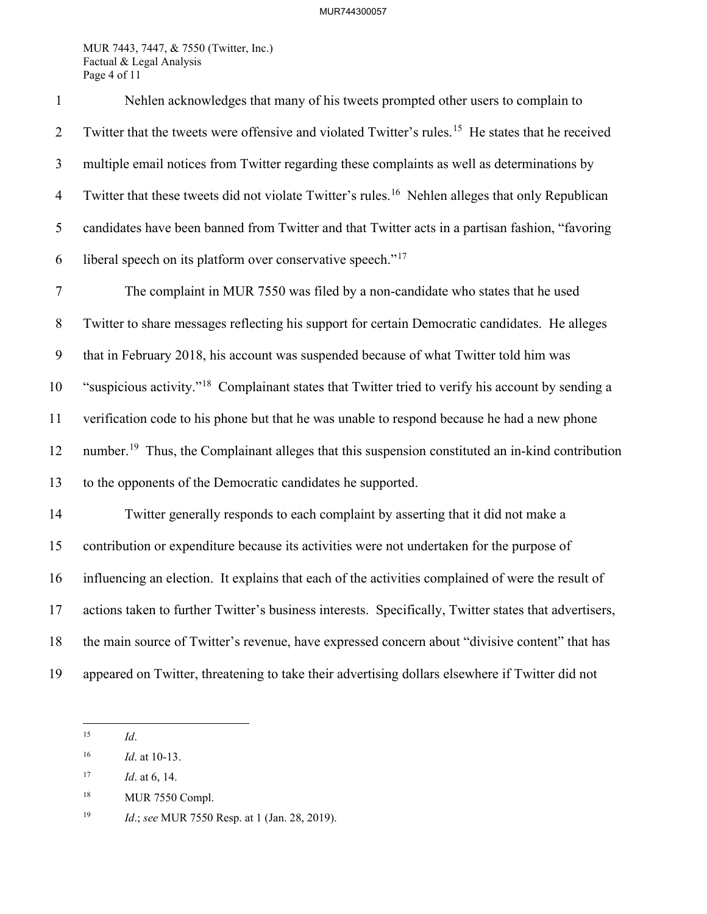#### MUR744300057

MUR 7443, 7447, & 7550 (Twitter, Inc.) Factual & Legal Analysis Page 4 of 11

1 Nehlen acknowledges that many of his tweets prompted other users to complain to 2 Twitter that the tweets were offensive and violated Twitter's rules.<sup>[15](#page-4-0)</sup> He states that he received 3 multiple email notices from Twitter regarding these complaints as well as determinations by 4 Twitter that these tweets did not violate Twitter's rules.<sup>[16](#page-4-1)</sup> Nehlen alleges that only Republican 5 candidates have been banned from Twitter and that Twitter acts in a partisan fashion, "favoring 6 liberal speech on its platform over conservative speech." $17$ 7 The complaint in MUR 7550 was filed by a non-candidate who states that he used 8 Twitter to share messages reflecting his support for certain Democratic candidates. He alleges 9 that in February 2018, his account was suspended because of what Twitter told him was 10 "suspicious activity."<sup>[18](#page-4-3)</sup> Complainant states that Twitter tried to verify his account by sending a 11 verification code to his phone but that he was unable to respond because he had a new phone 12 number.<sup>[19](#page-4-4)</sup> Thus, the Complainant alleges that this suspension constituted an in-kind contribution 13 to the opponents of the Democratic candidates he supported. 14 Twitter generally responds to each complaint by asserting that it did not make a 15 contribution or expenditure because its activities were not undertaken for the purpose of 16 influencing an election. It explains that each of the activities complained of were the result of 17 actions taken to further Twitter's business interests. Specifically, Twitter states that advertisers, 18 the main source of Twitter's revenue, have expressed concern about "divisive content" that has 19 appeared on Twitter, threatening to take their advertising dollars elsewhere if Twitter did not

<span id="page-4-0"></span>15 *Id*.

<span id="page-4-1"></span><sup>16</sup> *Id*. at 10-13.

<span id="page-4-2"></span><sup>17</sup> *Id*. at 6, 14.

<span id="page-4-3"></span><sup>18</sup> MUR 7550 Compl.

<span id="page-4-4"></span><sup>19</sup> *Id*.; *see* MUR 7550 Resp. at 1 (Jan. 28, 2019).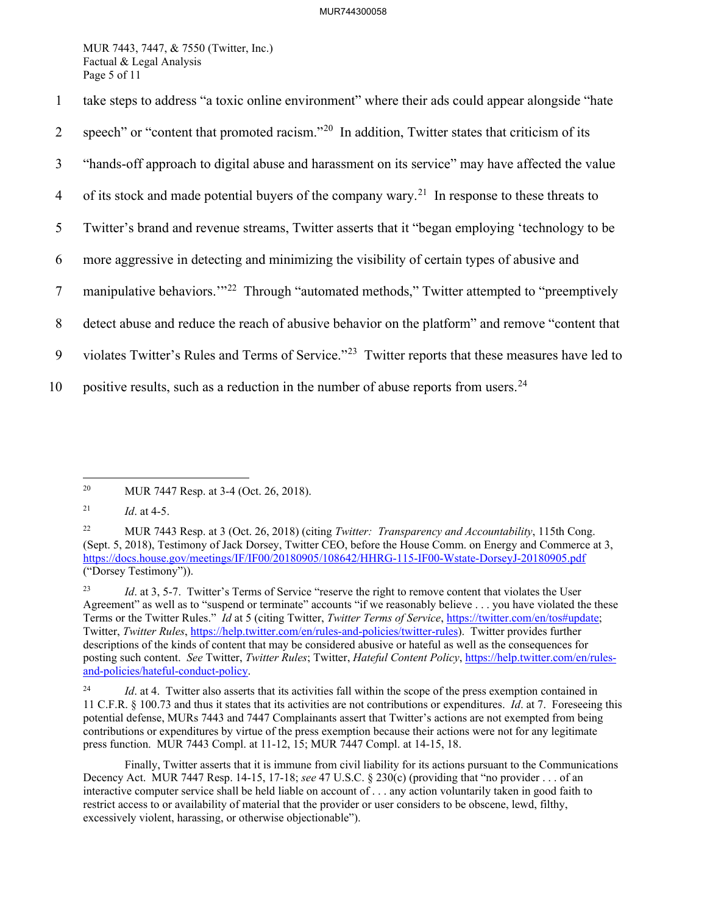MUR 7443, 7447, & 7550 (Twitter, Inc.) Factual & Legal Analysis Page 5 of 11

1 take steps to address "a toxic online environment" where their ads could appear alongside "hate 2 speech" or "content that promoted racism."<sup>[20](#page-5-0)</sup> In addition, Twitter states that criticism of its 3 "hands-off approach to digital abuse and harassment on its service" may have affected the value 4 of its stock and made potential buyers of the company wary.<sup>[21](#page-5-1)</sup> In response to these threats to 5 Twitter's brand and revenue streams, Twitter asserts that it "began employing 'technology to be 6 more aggressive in detecting and minimizing the visibility of certain types of abusive and 7 manipulative behaviors."<sup>[22](#page-5-2)</sup> Through "automated methods," Twitter attempted to "preemptively 8 detect abuse and reduce the reach of abusive behavior on the platform" and remove "content that 9 violates Twitter's Rules and Terms of Service."<sup>23</sup> Twitter reports that these measures have led to 10 positive results, such as a reduction in the number of abuse reports from users.  $24$ 

<span id="page-5-0"></span><sup>20</sup> MUR 7447 Resp. at 3-4 (Oct. 26, 2018).

<span id="page-5-1"></span><sup>21</sup> *Id*. at 4-5.

<span id="page-5-2"></span><sup>22</sup> MUR 7443 Resp. at 3 (Oct. 26, 2018) (citing *Twitter: Transparency and Accountability*, 115th Cong. (Sept. 5, 2018), Testimony of Jack Dorsey, Twitter CEO, before the House Comm. on Energy and Commerce at 3, <https://docs.house.gov/meetings/IF/IF00/20180905/108642/HHRG-115-IF00-Wstate-DorseyJ-20180905.pdf> ("Dorsey Testimony")).

<span id="page-5-3"></span><sup>&</sup>lt;sup>23</sup> *Id.* at 3, 5-7. Twitter's Terms of Service "reserve the right to remove content that violates the User Agreement" as well as to "suspend or terminate" accounts "if we reasonably believe . . . you have violated the these Terms or the Twitter Rules." *Id* at 5 (citing Twitter, *Twitter Terms of Service*, [https://twitter.com/en/tos#update;](https://twitter.com/en/tos#update) Twitter, *Twitter Rules*, [https://help.twitter.com/en/rules-and-policies/twitter-rules\)](https://help.twitter.com/en/rules-and-policies/twitter-rules). Twitter provides further descriptions of the kinds of content that may be considered abusive or hateful as well as the consequences for posting such content. *See* Twitter, *Twitter Rules*; Twitter, *Hateful Content Policy*, [https://help.twitter.com/en/rules](https://help.twitter.com/en/rules-and-policies/hateful-conduct-policy)[and-policies/hateful-conduct-policy.](https://help.twitter.com/en/rules-and-policies/hateful-conduct-policy)

<span id="page-5-4"></span><sup>&</sup>lt;sup>24</sup> *Id.* at 4. Twitter also asserts that its activities fall within the scope of the press exemption contained in 11 C.F.R. § 100.73 and thus it states that its activities are not contributions or expenditures. *Id*. at 7. Foreseeing this potential defense, MURs 7443 and 7447 Complainants assert that Twitter's actions are not exempted from being contributions or expenditures by virtue of the press exemption because their actions were not for any legitimate press function. MUR 7443 Compl. at 11-12, 15; MUR 7447 Compl. at 14-15, 18.

Finally, Twitter asserts that it is immune from civil liability for its actions pursuant to the Communications Decency Act. MUR 7447 Resp. 14-15, 17-18; *see* 47 U.S.C. § 230(c) (providing that "no provider . . . of an interactive computer service shall be held liable on account of . . . any action voluntarily taken in good faith to restrict access to or availability of material that the provider or user considers to be obscene, lewd, filthy, excessively violent, harassing, or otherwise objectionable").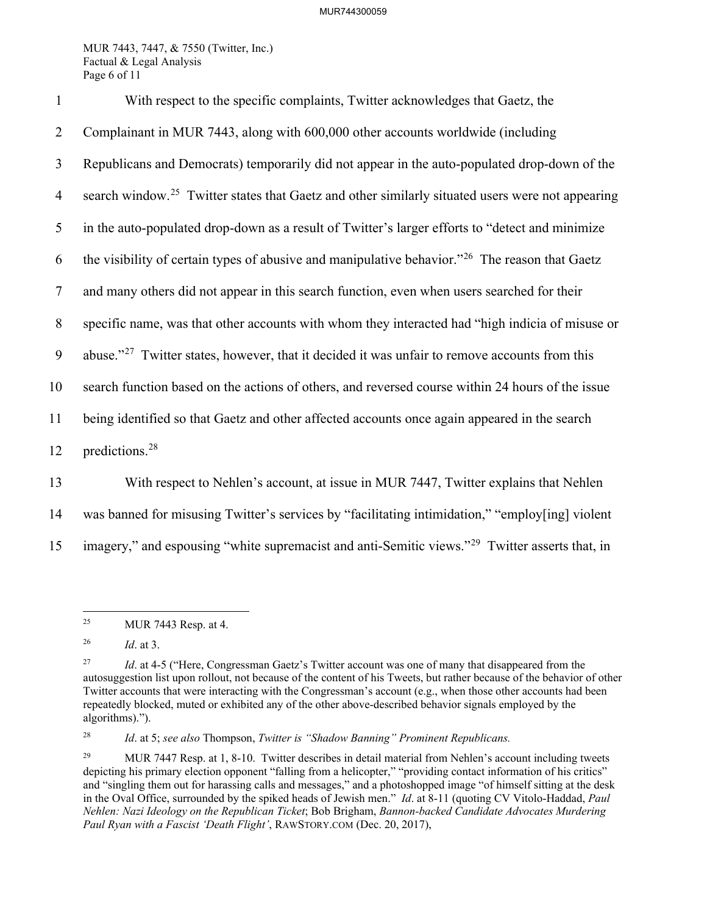MUR 7443, 7447, & 7550 (Twitter, Inc.) Factual & Legal Analysis Page 6 of 11

1 With respect to the specific complaints, Twitter acknowledges that Gaetz, the 2 Complainant in MUR 7443, along with 600,000 other accounts worldwide (including 3 Republicans and Democrats) temporarily did not appear in the auto-populated drop-down of the 4 search window.<sup>[25](#page-6-0)</sup> Twitter states that Gaetz and other similarly situated users were not appearing 5 in the auto-populated drop-down as a result of Twitter's larger efforts to "detect and minimize 6 the visibility of certain types of abusive and manipulative behavior."<sup>[26](#page-6-1)</sup> The reason that Gaetz 7 and many others did not appear in this search function, even when users searched for their 8 specific name, was that other accounts with whom they interacted had "high indicia of misuse or 9 abuse."<sup>[27](#page-6-2)</sup> Twitter states, however, that it decided it was unfair to remove accounts from this 10 search function based on the actions of others, and reversed course within 24 hours of the issue 11 being identified so that Gaetz and other affected accounts once again appeared in the search 12 predictions.<sup>[28](#page-6-3)</sup> 13 With respect to Nehlen's account, at issue in MUR 7447, Twitter explains that Nehlen

14 was banned for misusing Twitter's services by "facilitating intimidation," "employ[ing] violent

15 imagery," and espousing "white supremacist and anti-Semitic views."<sup>[29](#page-6-4)</sup> Twitter asserts that, in

<span id="page-6-3"></span>28 *Id*. at 5; *see also* Thompson, *Twitter is "Shadow Banning" Prominent Republicans.*

<span id="page-6-0"></span><sup>&</sup>lt;sup>25</sup> MUR 7443 Resp. at 4.

<span id="page-6-1"></span><sup>26</sup> *Id*. at 3.

<span id="page-6-2"></span><sup>&</sup>lt;sup>27</sup> *Id.* at 4-5 ("Here, Congressman Gaetz's Twitter account was one of many that disappeared from the autosuggestion list upon rollout, not because of the content of his Tweets, but rather because of the behavior of other Twitter accounts that were interacting with the Congressman's account (e.g., when those other accounts had been repeatedly blocked, muted or exhibited any of the other above-described behavior signals employed by the algorithms).").

<span id="page-6-4"></span><sup>&</sup>lt;sup>29</sup> MUR 7447 Resp. at 1, 8-10. Twitter describes in detail material from Nehlen's account including tweets depicting his primary election opponent "falling from a helicopter," "providing contact information of his critics" and "singling them out for harassing calls and messages," and a photoshopped image "of himself sitting at the desk in the Oval Office, surrounded by the spiked heads of Jewish men." *Id*. at 8-11 (quoting CV Vitolo-Haddad, *Paul Nehlen: Nazi Ideology on the Republican Ticket*; Bob Brigham, *Bannon-backed Candidate Advocates Murdering Paul Ryan with a Fascist 'Death Flight'*, RAWSTORY.COM (Dec. 20, 2017),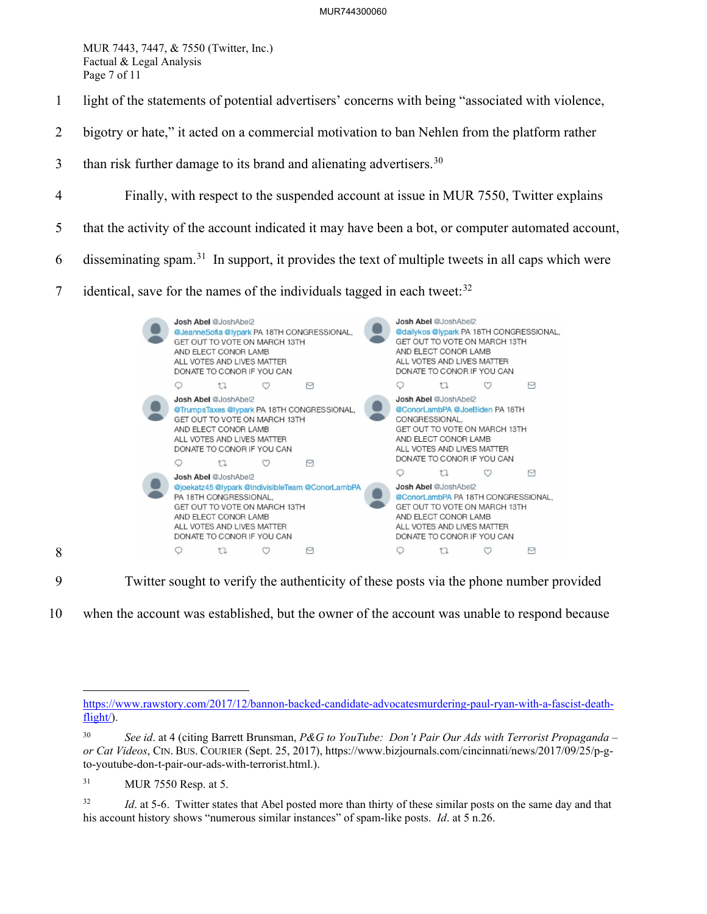MUR 7443, 7447, & 7550 (Twitter, Inc.) Factual & Legal Analysis Page 7 of 11

- 1 light of the statements of potential advertisers' concerns with being "associated with violence,
- 2 bigotry or hate," it acted on a commercial motivation to ban Nehlen from the platform rather
- $3$  than risk further damage to its brand and alienating advertisers.<sup>[30](#page-7-0)</sup>
- 4 Finally, with respect to the suspended account at issue in MUR 7550, Twitter explains
- 5 that the activity of the account indicated it may have been a bot, or computer automated account,
- 6 disseminating spam.<sup>[31](#page-7-1)</sup> In support, it provides the text of multiple tweets in all caps which were
- identical, save for the names of the individuals tagged in each tweet: $32$



9 Twitter sought to verify the authenticity of these posts via the phone number provided

10 when the account was established, but the owner of the account was unable to respond because

8

[https://www.rawstory.com/2017/12/bannon-backed-candidate-advocatesmurdering-paul-ryan-with-a-fascist-death](https://www.rawstory.com/2017/12/bannon-backed-candidate-advocatesmurdering-paul-ryan-with-a-fascist-death-flight/)flight).

<span id="page-7-0"></span><sup>30</sup> *See id*. at 4 (citing Barrett Brunsman, *P&G to YouTube: Don't Pair Our Ads with Terrorist Propaganda – or Cat Videos*, CIN. BUS. COURIER (Sept. 25, 2017), https://www.bizjournals.com/cincinnati/news/2017/09/25/p-gto-youtube-don-t-pair-our-ads-with-terrorist.html.).

<span id="page-7-1"></span><sup>31</sup> MUR 7550 Resp. at 5.

<span id="page-7-2"></span><sup>&</sup>lt;sup>32</sup> *Id.* at 5-6. Twitter states that Abel posted more than thirty of these similar posts on the same day and that his account history shows "numerous similar instances" of spam-like posts. *Id*. at 5 n.26.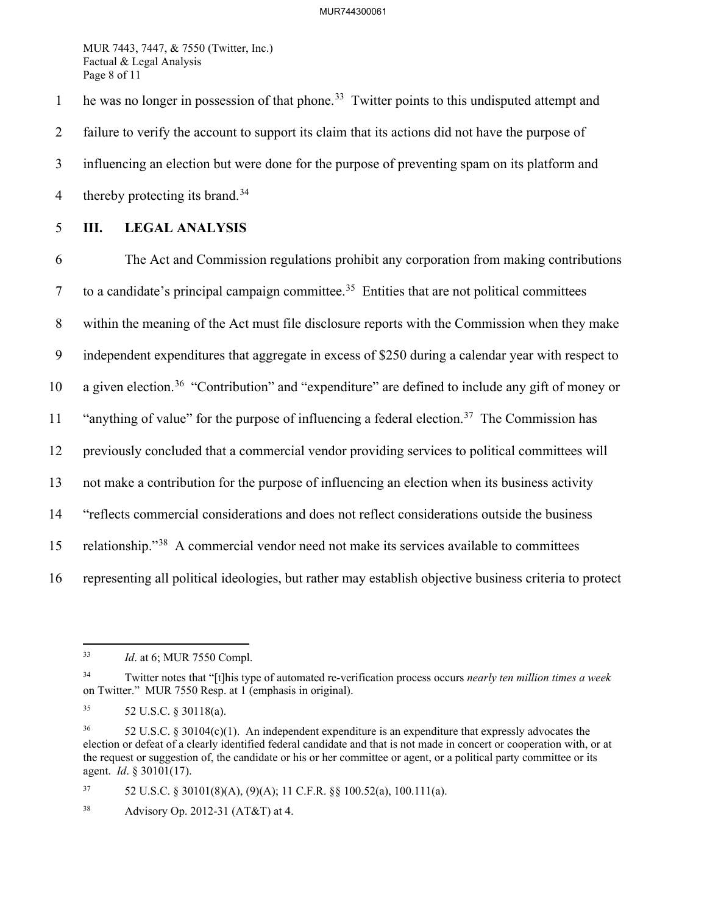MUR 7443, 7447, & 7550 (Twitter, Inc.) Factual & Legal Analysis Page 8 of 11

1 he was no longer in possession of that phone.<sup>[33](#page-8-0)</sup> Twitter points to this undisputed attempt and 2 failure to verify the account to support its claim that its actions did not have the purpose of 3 influencing an election but were done for the purpose of preventing spam on its platform and 4 thereby protecting its brand.<sup>[34](#page-8-1)</sup>

### 5 **III. LEGAL ANALYSIS**

6 The Act and Commission regulations prohibit any corporation from making contributions  $\sigma$  to a candidate's principal campaign committee.<sup>[35](#page-8-2)</sup> Entities that are not political committees 8 within the meaning of the Act must file disclosure reports with the Commission when they make 9 independent expenditures that aggregate in excess of \$250 during a calendar year with respect to 10 a given election.<sup>[36](#page-8-3)</sup> "Contribution" and "expenditure" are defined to include any gift of money or 11 "anything of value" for the purpose of influencing a federal election.<sup>[37](#page-8-4)</sup> The Commission has 12 previously concluded that a commercial vendor providing services to political committees will 13 not make a contribution for the purpose of influencing an election when its business activity 14 "reflects commercial considerations and does not reflect considerations outside the business 15 relationship."<sup>[38](#page-8-5)</sup> A commercial vendor need not make its services available to committees 16 representing all political ideologies, but rather may establish objective business criteria to protect

<span id="page-8-4"></span>37 52 U.S.C. § 30101(8)(A), (9)(A); 11 C.F.R. §§ 100.52(a), 100.111(a).

<span id="page-8-0"></span><sup>33</sup> *Id*. at 6; MUR 7550 Compl.

<span id="page-8-1"></span><sup>34</sup> Twitter notes that "[t]his type of automated re-verification process occurs *nearly ten million times a week* on Twitter." MUR 7550 Resp. at 1 (emphasis in original).

<span id="page-8-2"></span><sup>35 52</sup> U.S.C. § 30118(a).

<span id="page-8-3"></span> $36$  52 U.S.C. § 30104(c)(1). An independent expenditure is an expenditure that expressly advocates the election or defeat of a clearly identified federal candidate and that is not made in concert or cooperation with, or at the request or suggestion of, the candidate or his or her committee or agent, or a political party committee or its agent. *Id*. § 30101(17).

<span id="page-8-5"></span><sup>38</sup> Advisory Op. 2012-31 (AT&T) at 4.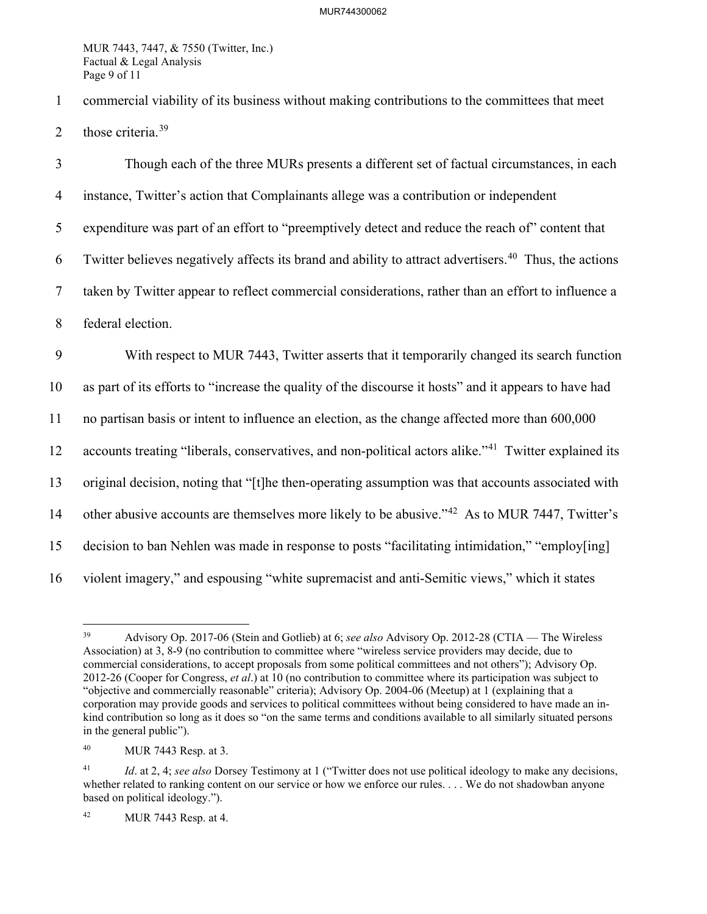MUR 7443, 7447, & 7550 (Twitter, Inc.) Factual & Legal Analysis Page 9 of 11

1 commercial viability of its business without making contributions to the committees that meet 2 those criteria. $39$ 

3 Though each of the three MURs presents a different set of factual circumstances, in each 4 instance, Twitter's action that Complainants allege was a contribution or independent 5 expenditure was part of an effort to "preemptively detect and reduce the reach of" content that 6 Twitter believes negatively affects its brand and ability to attract advertisers.<sup>[40](#page-9-1)</sup> Thus, the actions 7 taken by Twitter appear to reflect commercial considerations, rather than an effort to influence a 8 federal election. 9 With respect to MUR 7443, Twitter asserts that it temporarily changed its search function 10 as part of its efforts to "increase the quality of the discourse it hosts" and it appears to have had 11 no partisan basis or intent to influence an election, as the change affected more than 600,000 12 accounts treating "liberals, conservatives, and non-political actors alike."<sup>[41](#page-9-2)</sup> Twitter explained its 13 original decision, noting that "[t]he then-operating assumption was that accounts associated with 14 other abusive accounts are themselves more likely to be abusive."<sup>[42](#page-9-3)</sup> As to MUR 7447, Twitter's 15 decision to ban Nehlen was made in response to posts "facilitating intimidation," "employ[ing] 16 violent imagery," and espousing "white supremacist and anti-Semitic views," which it states

<span id="page-9-0"></span><sup>39</sup> Advisory Op. 2017-06 (Stein and Gotlieb) at 6; *see also* Advisory Op. 2012-28 (CTIA — The Wireless Association) at 3, 8-9 (no contribution to committee where "wireless service providers may decide, due to commercial considerations, to accept proposals from some political committees and not others"); Advisory Op. 2012-26 (Cooper for Congress, *et al*.) at 10 (no contribution to committee where its participation was subject to "objective and commercially reasonable" criteria); Advisory Op. 2004-06 (Meetup) at 1 (explaining that a corporation may provide goods and services to political committees without being considered to have made an inkind contribution so long as it does so "on the same terms and conditions available to all similarly situated persons in the general public").

<span id="page-9-1"></span><sup>40</sup> MUR 7443 Resp. at 3.

<span id="page-9-2"></span><sup>41</sup> *Id*. at 2, 4; *see also* Dorsey Testimony at 1 ("Twitter does not use political ideology to make any decisions, whether related to ranking content on our service or how we enforce our rules. . . . We do not shadowban anyone based on political ideology.").

<span id="page-9-3"></span><sup>42</sup> MUR 7443 Resp. at 4.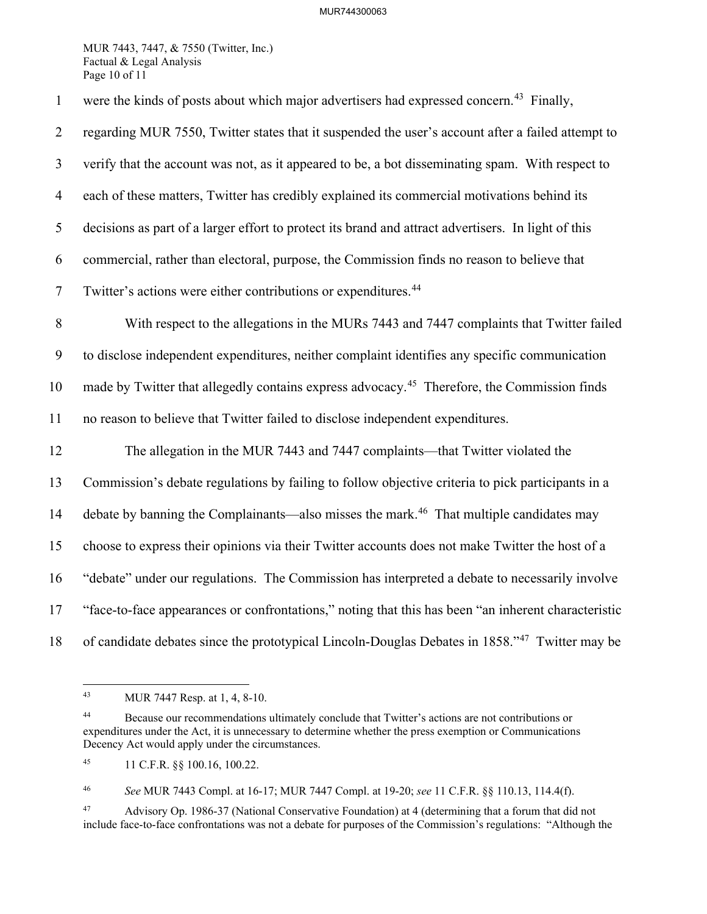#### MUR744300063

MUR 7443, 7447, & 7550 (Twitter, Inc.) Factual & Legal Analysis Page 10 of 11

1 were the kinds of posts about which major advertisers had expressed concern.<sup>[43](#page-10-0)</sup> Finally, 2 regarding MUR 7550, Twitter states that it suspended the user's account after a failed attempt to 3 verify that the account was not, as it appeared to be, a bot disseminating spam. With respect to 4 each of these matters, Twitter has credibly explained its commercial motivations behind its 5 decisions as part of a larger effort to protect its brand and attract advertisers. In light of this 6 commercial, rather than electoral, purpose, the Commission finds no reason to believe that 7 Twitter's actions were either contributions or expenditures.<sup>[44](#page-10-1)</sup> 8 With respect to the allegations in the MURs 7443 and 7447 complaints that Twitter failed 9 to disclose independent expenditures, neither complaint identifies any specific communication 10 made by Twitter that allegedly contains express advocacy.<sup>[45](#page-10-2)</sup> Therefore, the Commission finds 11 no reason to believe that Twitter failed to disclose independent expenditures. 12 The allegation in the MUR 7443 and 7447 complaints—that Twitter violated the 13 Commission's debate regulations by failing to follow objective criteria to pick participants in a 14 debate by banning the Complainants—also misses the mark.<sup>46</sup> That multiple candidates may 15 choose to express their opinions via their Twitter accounts does not make Twitter the host of a 16 "debate" under our regulations. The Commission has interpreted a debate to necessarily involve 17 "face-to-face appearances or confrontations," noting that this has been "an inherent characteristic 18 of candidate debates since the prototypical Lincoln-Douglas Debates in 1858."<sup>[47](#page-10-4)</sup> Twitter may be

<span id="page-10-3"></span>46 *See* MUR 7443 Compl. at 16-17; MUR 7447 Compl. at 19-20; *see* 11 C.F.R. §§ 110.13, 114.4(f).

<span id="page-10-4"></span>47 Advisory Op. 1986-37 (National Conservative Foundation) at 4 (determining that a forum that did not include face-to-face confrontations was not a debate for purposes of the Commission's regulations: "Although the

<sup>43</sup> MUR 7447 Resp. at 1, 4, 8-10.

<span id="page-10-1"></span><span id="page-10-0"></span><sup>&</sup>lt;sup>44</sup> Because our recommendations ultimately conclude that Twitter's actions are not contributions or expenditures under the Act, it is unnecessary to determine whether the press exemption or Communications Decency Act would apply under the circumstances.

<span id="page-10-2"></span><sup>45 11</sup> C.F.R. §§ 100.16, 100.22.